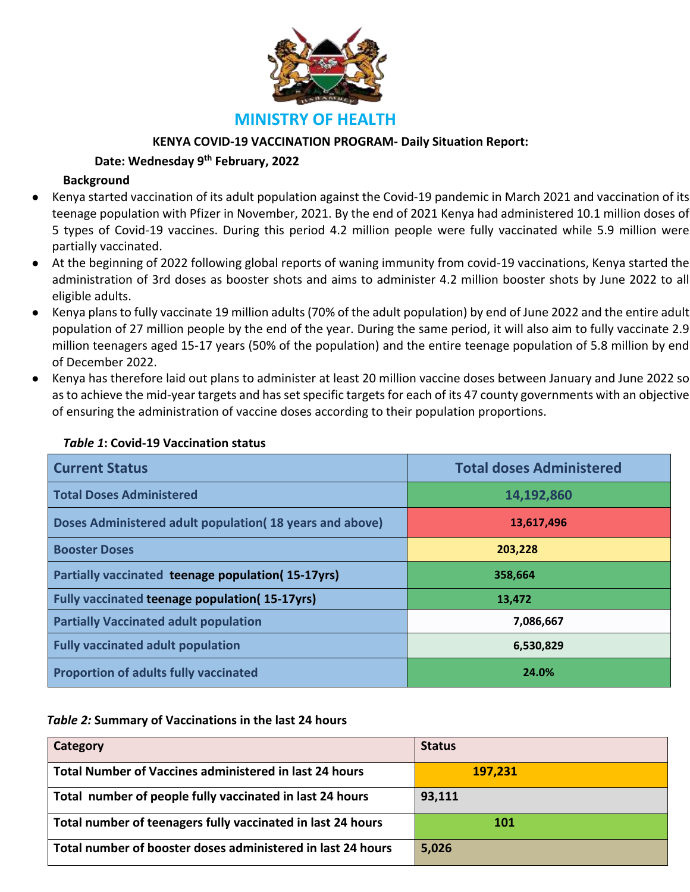

# **MINISTRY OF HEALTH**

## **KENYA COVID-19 VACCINATION PROGRAM- Daily Situation Report:**

## **Date: Wednesday 9th February, 2022**

## **Background**

- Kenya started vaccination of its adult population against the Covid-19 pandemic in March 2021 and vaccination of its teenage population with Pfizer in November, 2021. By the end of 2021 Kenya had administered 10.1 million doses of 5 types of Covid-19 vaccines. During this period 4.2 million people were fully vaccinated while 5.9 million were partially vaccinated.
- At the beginning of 2022 following global reports of waning immunity from covid-19 vaccinations, Kenya started the administration of 3rd doses as booster shots and aims to administer 4.2 million booster shots by June 2022 to all eligible adults.
- Kenya plans to fully vaccinate 19 million adults (70% of the adult population) by end of June 2022 and the entire adult population of 27 million people by the end of the year. During the same period, it will also aim to fully vaccinate 2.9 million teenagers aged 15-17 years (50% of the population) and the entire teenage population of 5.8 million by end of December 2022.
- Kenya has therefore laid out plans to administer at least 20 million vaccine doses between January and June 2022 so as to achieve the mid-year targets and has set specific targets for each of its 47 county governments with an objective of ensuring the administration of vaccine doses according to their population proportions.

| <b>Current Status</b>                                    | <b>Total doses Administered</b> |
|----------------------------------------------------------|---------------------------------|
| <b>Total Doses Administered</b>                          | 14,192,860                      |
| Doses Administered adult population (18 years and above) | 13,617,496                      |
| <b>Booster Doses</b>                                     | 203,228                         |
| Partially vaccinated teenage population(15-17yrs)        | 358,664                         |
| Fully vaccinated teenage population(15-17yrs)            | 13,472                          |
| <b>Partially Vaccinated adult population</b>             | 7,086,667                       |
| <b>Fully vaccinated adult population</b>                 | 6,530,829                       |
| <b>Proportion of adults fully vaccinated</b>             | 24.0%                           |

## *Table 1***: Covid-19 Vaccination status**

## *Table 2:* **Summary of Vaccinations in the last 24 hours**

| Category                                                    | <b>Status</b> |
|-------------------------------------------------------------|---------------|
| Total Number of Vaccines administered in last 24 hours      | 197,231       |
| Total number of people fully vaccinated in last 24 hours    | 93,111        |
| Total number of teenagers fully vaccinated in last 24 hours | 101           |
| Total number of booster doses administered in last 24 hours | 5,026         |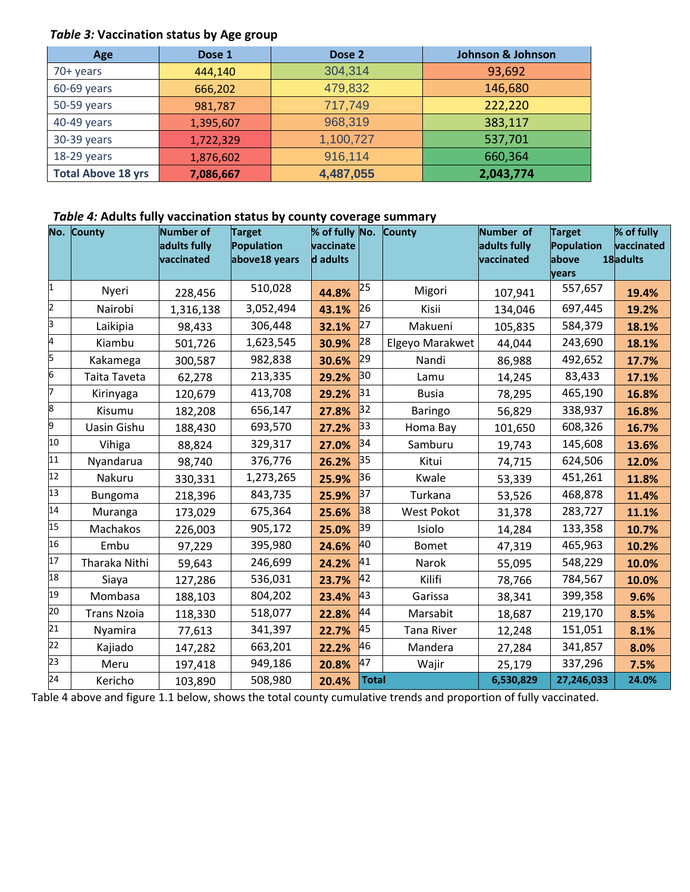## *Table 3:* **Vaccination status by Age group**

| Age                       | Dose 1    | Dose 2    | <b>Johnson &amp; Johnson</b> |
|---------------------------|-----------|-----------|------------------------------|
| 70+ years                 | 444,140   | 304,314   | 93,692                       |
| 60-69 years               | 666,202   | 479,832   | 146,680                      |
| 50-59 years               | 981,787   | 717,749   | 222,220                      |
| 40-49 years               | 1,395,607 | 968,319   | 383,117                      |
| 30-39 years               | 1,722,329 | 1,100,727 | 537,701                      |
| 18-29 years               | 1,876,602 | 916,114   | 660,364                      |
| <b>Total Above 18 yrs</b> | 7,086,667 | 4,487,055 | 2,043,774                    |

## *Table 4:* **Adults fully vaccination status by county coverage summary**

|                 | No. County         | Number of    | <b>Target</b> | % of fully No. |              | <b>County</b>     | Number of    | <b>Target</b>   | % of fully |
|-----------------|--------------------|--------------|---------------|----------------|--------------|-------------------|--------------|-----------------|------------|
|                 |                    | adults fully | Population    | vaccinate      |              |                   | adults fully | Population      | vaccinated |
|                 |                    | vaccinated   | above18 years | d adults       |              |                   | vaccinated   | labove<br>years | 18adults   |
| 1               | Nyeri              | 228,456      | 510,028       | 44.8%          | 25           | Migori            | 107,941      | 557,657         | 19.4%      |
| 2               |                    |              |               |                | 26           |                   |              |                 |            |
|                 | Nairobi            | 1,316,138    | 3,052,494     | 43.1%          |              | Kisii             | 134,046      | 697,445         | 19.2%      |
| 3               | Laikipia           | 98,433       | 306,448       | 32.1%          | 27           | Makueni           | 105,835      | 584,379         | 18.1%      |
| 4               | Kiambu             | 501,726      | 1,623,545     | 30.9%          | 28           | Elgeyo Marakwet   | 44,044       | 243,690         | 18.1%      |
| 5               | Kakamega           | 300,587      | 982,838       | 30.6%          | 29           | Nandi             | 86,988       | 492,652         | 17.7%      |
| 6               | Taita Taveta       | 62,278       | 213,335       | 29.2%          | 30           | Lamu              | 14,245       | 83,433          | 17.1%      |
| 7               | Kirinyaga          | 120,679      | 413,708       | 29.2%          | 31           | <b>Busia</b>      | 78,295       | 465,190         | 16.8%      |
| 8               | Kisumu             | 182,208      | 656,147       | 27.8%          | 32           | Baringo           | 56,829       | 338,937         | 16.8%      |
| 9               | Uasin Gishu        | 188,430      | 693,570       | 27.2%          | 33           | Homa Bay          | 101,650      | 608,326         | 16.7%      |
| 10              | Vihiga             | 88,824       | 329,317       | 27.0%          | 34           | Samburu           | 19,743       | 145,608         | 13.6%      |
| 11              | Nyandarua          | 98,740       | 376,776       | 26.2%          | 35           | Kitui             | 74,715       | 624,506         | 12.0%      |
| 12              | Nakuru             | 330,331      | 1,273,265     | 25.9%          | 36           | Kwale             | 53,339       | 451,261         | 11.8%      |
| 13              | Bungoma            | 218,396      | 843,735       | 25.9%          | 37           | Turkana           | 53,526       | 468,878         | 11.4%      |
| 14              | Muranga            | 173,029      | 675,364       | 25.6%          | 38           | West Pokot        | 31,378       | 283,727         | 11.1%      |
| 15              | Machakos           | 226,003      | 905,172       | 25.0%          | 39           | Isiolo            | 14,284       | 133,358         | 10.7%      |
| 16              | Embu               | 97,229       | 395,980       | 24.6%          | 40           | <b>Bomet</b>      | 47,319       | 465,963         | 10.2%      |
| 17              | Tharaka Nithi      | 59,643       | 246,699       | 24.2%          | 41           | Narok             | 55,095       | 548,229         | 10.0%      |
| 18              | Siaya              | 127,286      | 536,031       | 23.7%          | 42           | Kilifi            | 78,766       | 784,567         | 10.0%      |
| 19              | Mombasa            | 188,103      | 804,202       | 23.4%          | 43           | Garissa           | 38,341       | 399,358         | 9.6%       |
| 20              | <b>Trans Nzoia</b> | 118,330      | 518,077       | 22.8%          | 44           | Marsabit          | 18,687       | 219,170         | 8.5%       |
| 21              | Nyamira            | 77,613       | 341,397       | 22.7%          | 45           | <b>Tana River</b> | 12,248       | 151,051         | 8.1%       |
| $\overline{22}$ | Kajiado            | 147,282      | 663,201       | 22.2%          | 46           | Mandera           | 27,284       | 341,857         | 8.0%       |
| 23              | Meru               | 197,418      | 949,186       | 20.8%          | 47           | Wajir             | 25,179       | 337,296         | 7.5%       |
| $\overline{24}$ | Kericho            | 103,890      | 508,980       | 20.4%          | <b>Total</b> |                   | 6,530,829    | 27,246,033      | 24.0%      |

Table 4 above and figure 1.1 below, shows the total county cumulative trends and proportion of fully vaccinated.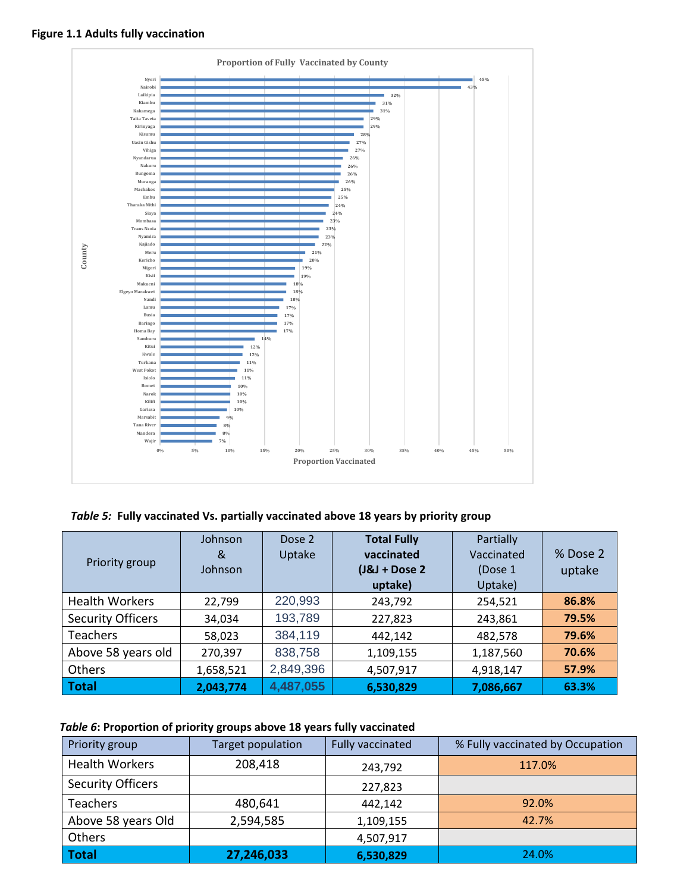

## **Figure 1.1 Adults fully vaccination**

*Table 5:* **Fully vaccinated Vs. partially vaccinated above 18 years by priority group**

| Priority group           | Johnson<br>&<br>Johnson | Dose 2<br>Uptake | <b>Total Fully</b><br>vaccinated<br>$(J&J + Does 2$<br>uptake) | Partially<br>Vaccinated<br>(Dose 1)<br>Uptake) | % Dose 2<br>uptake |
|--------------------------|-------------------------|------------------|----------------------------------------------------------------|------------------------------------------------|--------------------|
| <b>Health Workers</b>    | 22,799                  | 220,993          | 243,792                                                        | 254,521                                        | 86.8%              |
| <b>Security Officers</b> | 34,034                  | 193,789          | 227,823                                                        | 243,861                                        | 79.5%              |
| <b>Teachers</b>          | 58,023                  | 384,119          | 442,142                                                        | 482,578                                        | 79.6%              |
| Above 58 years old       | 270,397                 | 838,758          | 1,109,155                                                      | 1,187,560                                      | 70.6%              |
| Others                   | 1,658,521               | 2,849,396        | 4,507,917                                                      | 4,918,147                                      | 57.9%              |
| <b>Total</b>             | 2,043,774               | 4,487,055        | 6,530,829                                                      | 7,086,667                                      | 63.3%              |

## *Table 6***: Proportion of priority groups above 18 years fully vaccinated**

| Priority group           | Target population | <b>Fully vaccinated</b> | % Fully vaccinated by Occupation |
|--------------------------|-------------------|-------------------------|----------------------------------|
| <b>Health Workers</b>    | 208,418           | 243,792                 | 117.0%                           |
| <b>Security Officers</b> |                   | 227,823                 |                                  |
| <b>Teachers</b>          | 480,641           | 442,142                 | 92.0%                            |
| Above 58 years Old       | 2,594,585         | 1,109,155               | 42.7%                            |
| Others                   |                   | 4,507,917               |                                  |
| <b>Total</b>             | 27,246,033        | 6,530,829               | 24.0%                            |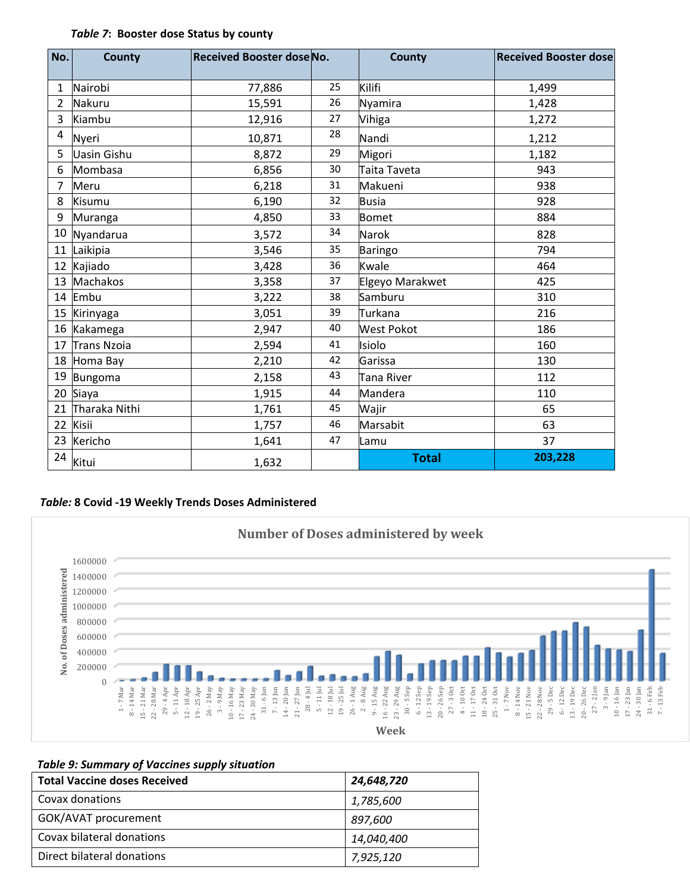#### *Table 7***: Booster dose Status by county**

| No.          | <b>County</b>      | <b>Received Booster dose No.</b> |    | <b>County</b>     | <b>Received Booster dose</b> |
|--------------|--------------------|----------------------------------|----|-------------------|------------------------------|
| $\mathbf{1}$ | Nairobi            | 77,886                           | 25 | Kilifi            | 1,499                        |
|              |                    |                                  |    |                   |                              |
| 2            | Nakuru             | 15,591                           | 26 | Nyamira           | 1,428                        |
| 3            | Kiambu             | 12,916                           | 27 | Vihiga            | 1,272                        |
| 4            | Nyeri              | 10,871                           | 28 | Nandi             | 1,212                        |
| 5            | <b>Uasin Gishu</b> | 8,872                            | 29 | Migori            | 1,182                        |
| 6            | Mombasa            | 6,856                            | 30 | Taita Taveta      | 943                          |
| 7            | Meru               | 6,218                            | 31 | Makueni           | 938                          |
| 8            | Kisumu             | 6,190                            | 32 | <b>Busia</b>      | 928                          |
| 9            | Muranga            | 4,850                            | 33 | Bomet             | 884                          |
|              | 10 Nyandarua       | 3,572                            | 34 | Narok             | 828                          |
|              | 11 Laikipia        | 3,546                            | 35 | Baringo           | 794                          |
|              | 12 Kajiado         | 3,428                            | 36 | Kwale             | 464                          |
|              | 13 Machakos        | 3,358                            | 37 | Elgeyo Marakwet   | 425                          |
|              | 14 Embu            | 3,222                            | 38 | Samburu           | 310                          |
|              | 15 Kirinyaga       | 3,051                            | 39 | Turkana           | 216                          |
|              | 16 Kakamega        | 2,947                            | 40 | <b>West Pokot</b> | 186                          |
|              | 17 Trans Nzoia     | 2,594                            | 41 | Isiolo            | 160                          |
|              | 18 Homa Bay        | 2,210                            | 42 | Garissa           | 130                          |
|              | 19 Bungoma         | 2,158                            | 43 | Tana River        | 112                          |
|              | 20 Siaya           | 1,915                            | 44 | Mandera           | 110                          |
|              | 21 Tharaka Nithi   | 1,761                            | 45 | Wajir             | 65                           |
|              | 22 Kisii           | 1,757                            | 46 | Marsabit          | 63                           |
|              | 23 Kericho         | 1,641                            | 47 | Lamu              | 37                           |
| 24           | Kitui              | 1,632                            |    | <b>Total</b>      | 203,228                      |

#### *Table:* **8 Covid -19 Weekly Trends Doses Administered**



## *Table 9: Summary of Vaccines supply situation*

| <b>Total Vaccine doses Received</b> | 24,648,720 |
|-------------------------------------|------------|
| Covax donations                     | 1,785,600  |
| GOK/AVAT procurement                | 897,600    |
| Covax bilateral donations           | 14,040,400 |
| Direct bilateral donations          | 7,925,120  |